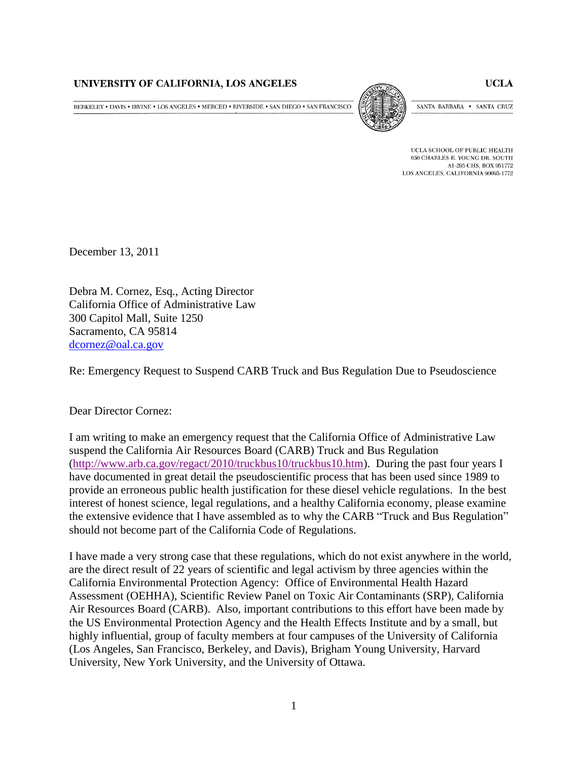## UNIVERSITY OF CALIFORNIA, LOS ANGELES

BERKELEY • DAVIS • IRVINE • LOS ANGELES • MERCED • RIVERSIDE • SAN DIEGO • SAN FRANCISCO



SANTA BARBARA . SANTA CRUZ

UCLA SCHOOL OF PUBLIC HEALTH 650 CHARLES E. YOUNG DR. SOUTH A1-295 CHS, BOX 951772 LOS ANGELES, CALIFORNIA 90095-1772

December 13, 2011

Debra M. Cornez, Esq., Acting Director California Office of Administrative Law 300 Capitol Mall, Suite 1250 Sacramento, CA 95814 [dcornez@oal.ca.gov](mailto:dcornez@oal.ca.gov)

Re: Emergency Request to Suspend CARB Truck and Bus Regulation Due to Pseudoscience

Dear Director Cornez:

I am writing to make an emergency request that the California Office of Administrative Law suspend the California Air Resources Board (CARB) Truck and Bus Regulation [\(http://www.arb.ca.gov/regact/2010/truckbus10/truckbus10.htm\)](http://www.arb.ca.gov/regact/2010/truckbus10/truckbus10.htm). During the past four years I have documented in great detail the pseudoscientific process that has been used since 1989 to provide an erroneous public health justification for these diesel vehicle regulations. In the best interest of honest science, legal regulations, and a healthy California economy, please examine the extensive evidence that I have assembled as to why the CARB "Truck and Bus Regulation" should not become part of the California Code of Regulations.

I have made a very strong case that these regulations, which do not exist anywhere in the world, are the direct result of 22 years of scientific and legal activism by three agencies within the California Environmental Protection Agency: Office of Environmental Health Hazard Assessment (OEHHA), Scientific Review Panel on Toxic Air Contaminants (SRP), California Air Resources Board (CARB). Also, important contributions to this effort have been made by the US Environmental Protection Agency and the Health Effects Institute and by a small, but highly influential, group of faculty members at four campuses of the University of California (Los Angeles, San Francisco, Berkeley, and Davis), Brigham Young University, Harvard University, New York University, and the University of Ottawa.

**UCLA**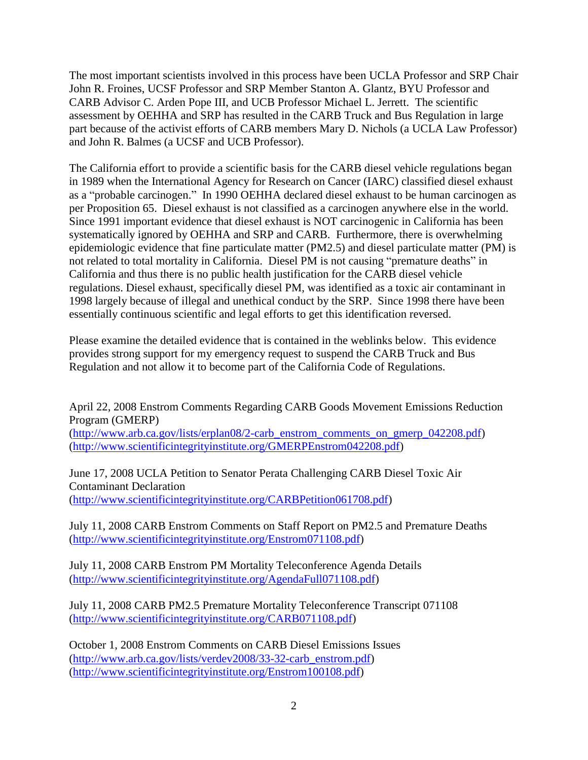The most important scientists involved in this process have been UCLA Professor and SRP Chair John R. Froines, UCSF Professor and SRP Member Stanton A. Glantz, BYU Professor and CARB Advisor C. Arden Pope III, and UCB Professor Michael L. Jerrett. The scientific assessment by OEHHA and SRP has resulted in the CARB Truck and Bus Regulation in large part because of the activist efforts of CARB members Mary D. Nichols (a UCLA Law Professor) and John R. Balmes (a UCSF and UCB Professor).

The California effort to provide a scientific basis for the CARB diesel vehicle regulations began in 1989 when the International Agency for Research on Cancer (IARC) classified diesel exhaust as a "probable carcinogen." In 1990 OEHHA declared diesel exhaust to be human carcinogen as per Proposition 65. Diesel exhaust is not classified as a carcinogen anywhere else in the world. Since 1991 important evidence that diesel exhaust is NOT carcinogenic in California has been systematically ignored by OEHHA and SRP and CARB. Furthermore, there is overwhelming epidemiologic evidence that fine particulate matter (PM2.5) and diesel particulate matter (PM) is not related to total mortality in California. Diesel PM is not causing "premature deaths" in California and thus there is no public health justification for the CARB diesel vehicle regulations. Diesel exhaust, specifically diesel PM, was identified as a toxic air contaminant in 1998 largely because of illegal and unethical conduct by the SRP. Since 1998 there have been essentially continuous scientific and legal efforts to get this identification reversed.

Please examine the detailed evidence that is contained in the weblinks below. This evidence provides strong support for my emergency request to suspend the CARB Truck and Bus Regulation and not allow it to become part of the California Code of Regulations.

April 22, 2008 Enstrom Comments Regarding CARB Goods Movement Emissions Reduction Program (GMERP)

[\(http://www.arb.ca.gov/lists/erplan08/2-carb\\_enstrom\\_comments\\_on\\_gmerp\\_042208.pdf\)](http://www.arb.ca.gov/lists/erplan08/2-carb_enstrom_comments_on_gmerp_042208.pdf) [\(http://www.scientificintegrityinstitute.org/GMERPEnstrom042208.pdf\)](http://www.scientificintegrityinstitute.org/GMERPEnstrom042208.pdf)

June 17, 2008 UCLA Petition to Senator Perata Challenging CARB Diesel Toxic Air Contaminant Declaration [\(http://www.scientificintegrityinstitute.org/CARBPetition061708.pdf\)](http://www.scientificintegrityinstitute.org/CARBPetition061708.pdf)

July 11, 2008 CARB Enstrom Comments on Staff Report on PM2.5 and Premature Deaths [\(http://www.scientificintegrityinstitute.org/Enstrom071108.pdf\)](http://www.scientificintegrityinstitute.org/Enstrom071108.pdf)

July 11, 2008 CARB Enstrom PM Mortality Teleconference Agenda Details [\(http://www.scientificintegrityinstitute.org/AgendaFull071108.pdf\)](http://www.scientificintegrityinstitute.org/AgendaFull071108.pdf)

July 11, 2008 CARB PM2.5 Premature Mortality Teleconference Transcript 071108 [\(http://www.scientificintegrityinstitute.org/CARB071108.pdf\)](http://www.scientificintegrityinstitute.org/CARB071108.pdf)

October 1, 2008 Enstrom Comments on CARB Diesel Emissions Issues [\(http://www.arb.ca.gov/lists/verdev2008/33-32-carb\\_enstrom.pdf\)](http://www.arb.ca.gov/lists/verdev2008/33-32-carb_enstrom.pdf) [\(http://www.scientificintegrityinstitute.org/Enstrom100108.pdf\)](http://www.scientificintegrityinstitute.org/Enstrom100108.pdf)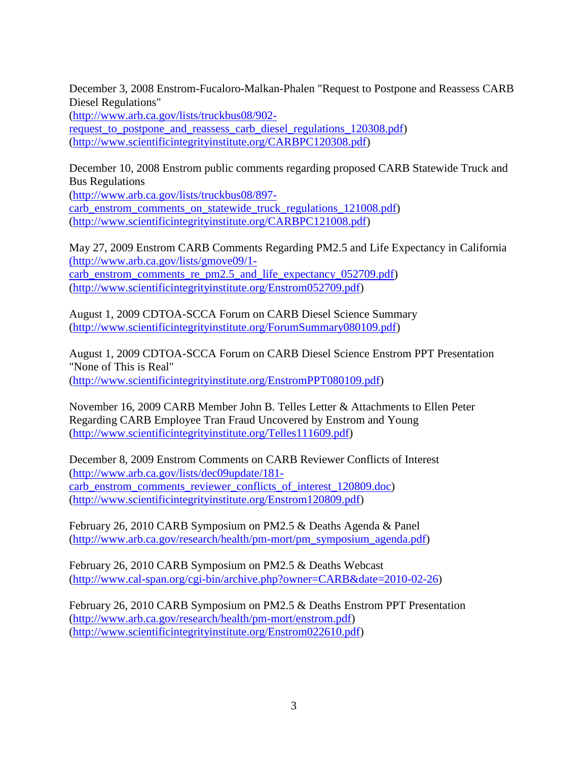December 3, 2008 Enstrom-Fucaloro-Malkan-Phalen "Request to Postpone and Reassess CARB Diesel Regulations"

[\(http://www.arb.ca.gov/lists/truckbus08/902-](http://www.arb.ca.gov/lists/truckbus08/902-request_to_postpone_and_reassess_carb_diesel_regulations_120308.pdf)

request to postpone and reassess carb diesel regulations 120308.pdf) [\(http://www.scientificintegrityinstitute.org/CARBPC120308.pdf\)](http://www.scientificintegrityinstitute.org/CARBPC120308.pdf)

December 10, 2008 Enstrom public comments regarding proposed CARB Statewide Truck and Bus Regulations

[\(http://www.arb.ca.gov/lists/truckbus08/897](http://www.arb.ca.gov/lists/truckbus08/897-carb_enstrom_comments_on_statewide_truck_regulations_121008.pdf) [carb\\_enstrom\\_comments\\_on\\_statewide\\_truck\\_regulations\\_121008.pdf\)](http://www.arb.ca.gov/lists/truckbus08/897-carb_enstrom_comments_on_statewide_truck_regulations_121008.pdf) [\(http://www.scientificintegrityinstitute.org/CARBPC121008.pdf\)](http://www.scientificintegrityinstitute.org/CARBPC121008.pdf)

May 27, 2009 Enstrom CARB Comments Regarding PM2.5 and Life Expectancy in California [\(http://www.arb.ca.gov/lists/gmove09/1](http://www.arb.ca.gov/lists/gmove09/1-carb_enstrom_comments_re_pm2.5_and_life_expectancy_052709.pdf) [carb\\_enstrom\\_comments\\_re\\_pm2.5\\_and\\_life\\_expectancy\\_052709.pdf\)](http://www.arb.ca.gov/lists/gmove09/1-carb_enstrom_comments_re_pm2.5_and_life_expectancy_052709.pdf) [\(http://www.scientificintegrityinstitute.org/Enstrom052709.pdf\)](http://www.scientificintegrityinstitute.org/Enstrom052709.pdf)

August 1, 2009 CDTOA-SCCA Forum on CARB Diesel Science Summary [\(http://www.scientificintegrityinstitute.org/ForumSummary080109.pdf\)](http://www.scientificintegrityinstitute.org/ForumSummary080109.pdf)

August 1, 2009 CDTOA-SCCA Forum on CARB Diesel Science Enstrom PPT Presentation "None of This is Real" [\(http://www.scientificintegrityinstitute.org/EnstromPPT080109.pdf\)](http://www.scientificintegrityinstitute.org/EnstromPPT080109.pdf)

November 16, 2009 CARB Member John B. Telles Letter & Attachments to Ellen Peter Regarding CARB Employee Tran Fraud Uncovered by Enstrom and Young [\(http://www.scientificintegrityinstitute.org/Telles111609.pdf\)](http://www.scientificintegrityinstitute.org/IT060106.pdf)

December 8, 2009 Enstrom Comments on CARB Reviewer Conflicts of Interest [\(http://www.arb.ca.gov/lists/dec09update/181](http://www.arb.ca.gov/lists/dec09update/181-carb_enstrom_comments_reviewer_conflicts_of_interest_120809.doc) [carb\\_enstrom\\_comments\\_reviewer\\_conflicts\\_of\\_interest\\_120809.doc\)](http://www.arb.ca.gov/lists/dec09update/181-carb_enstrom_comments_reviewer_conflicts_of_interest_120809.doc) [\(http://www.scientificintegrityinstitute.org/Enstrom120809.pdf\)](http://www.scientificintegrityinstitute.org/Enstrom120809.pdf)

February 26, 2010 CARB Symposium on PM2.5 & Deaths Agenda & Panel [\(http://www.arb.ca.gov/research/health/pm-mort/pm\\_symposium\\_agenda.pdf\)](http://www.arb.ca.gov/research/health/pm-mort/pm_symposium_agenda.pdf)

February 26, 2010 CARB Symposium on PM2.5 & Deaths Webcast [\(http://www.cal-span.org/cgi-bin/archive.php?owner=CARB&date=2010-02-26\)](http://www.cal-span.org/cgi-bin/archive.php?owner=CARB&date=2010-02-26)

February 26, 2010 CARB Symposium on PM2.5 & Deaths Enstrom PPT Presentation [\(http://www.arb.ca.gov/research/health/pm-mort/enstrom.pdf\)](http://www.arb.ca.gov/research/health/pm-mort/enstrom.pdf) [\(http://www.scientificintegrityinstitute.org/Enstrom022610.pdf\)](http://www.scientificintegrityinstitute.org/Enstrom022610.pdf)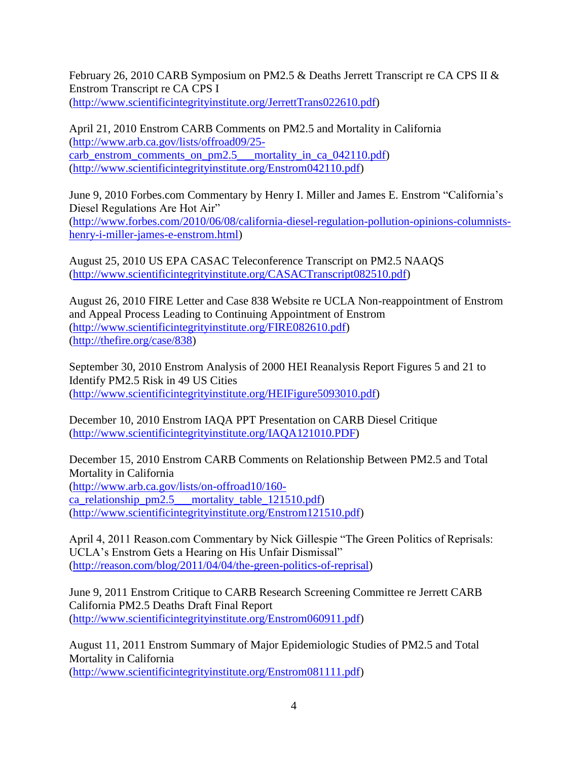February 26, 2010 CARB Symposium on PM2.5 & Deaths Jerrett Transcript re CA CPS II & Enstrom Transcript re CA CPS I [\(http://www.scientificintegrityinstitute.org/JerrettTrans022610.pdf\)](http://www.scientificintegrityinstitute.org/JerrettTrans022610.pdf)

April 21, 2010 Enstrom CARB Comments on PM2.5 and Mortality in California [\(http://www.arb.ca.gov/lists/offroad09/25](http://www.arb.ca.gov/lists/offroad09/25-carb_enstrom_comments_on_pm2.5___mortality_in_ca_042110.pdf) carb enstrom comments on pm2.5 — mortality in ca\_042110.pdf) [\(http://www.scientificintegrityinstitute.org/Enstrom042110.pdf\)](http://www.scientificintegrityinstitute.org/Enstrom042110.pdf)

June 9, 2010 Forbes.com Commentary by Henry I. Miller and James E. Enstrom "California's Diesel Regulations Are Hot Air" [\(http://www.forbes.com/2010/06/08/california-diesel-regulation-pollution-opinions-columnists](http://www.forbes.com/2010/06/08/california-diesel-regulation-pollution-opinions-columnists-henry-i-miller-james-e-enstrom.html)[henry-i-miller-james-e-enstrom.html\)](http://www.forbes.com/2010/06/08/california-diesel-regulation-pollution-opinions-columnists-henry-i-miller-james-e-enstrom.html)

August 25, 2010 US EPA CASAC Teleconference Transcript on PM2.5 NAAQS [\(http://www.scientificintegrityinstitute.org/CASACTranscript082510.pdf\)](http://www.scientificintegrityinstitute.org/CASACTranscript082510.pdf)

August 26, 2010 FIRE Letter and Case 838 Website re UCLA Non-reappointment of Enstrom and Appeal Process Leading to Continuing Appointment of Enstrom [\(http://www.scientificintegrityinstitute.org/FIRE082610.pdf\)](http://www.scientificintegrityinstitute.org/FIRE082610.pdf) [\(http://thefire.org/case/838\)](http://thefire.org/case/838))

September 30, 2010 Enstrom Analysis of 2000 HEI Reanalysis Report Figures 5 and 21 to Identify PM2.5 Risk in 49 US Cities [\(http://www.scientificintegrityinstitute.org/HEIFigure5093010.pdf\)](http://www.scientificintegrityinstitute.org/HEIFigure5093010.pdf)

December 10, 2010 Enstrom IAQA PPT Presentation on CARB Diesel Critique [\(http://www.scientificintegrityinstitute.org/IAQA121010.PDF\)](http://www.scientificintegrityinstitute.org/IAQA121010.PDF)

December 15, 2010 Enstrom CARB Comments on Relationship Between PM2.5 and Total Mortality in California [\(http://www.arb.ca.gov/lists/on-offroad10/160](http://www.arb.ca.gov/lists/on-offroad10/160-ca_relationship_pm2.5___mortality_table_121510.pdf) [ca\\_relationship\\_pm2.5\\_\\_\\_mortality\\_table\\_121510.pdf\)](http://www.arb.ca.gov/lists/on-offroad10/160-ca_relationship_pm2.5___mortality_table_121510.pdf) [\(http://www.scientificintegrityinstitute.org/Enstrom121510.pdf\)](http://www.scientificintegrityinstitute.org/Enstrom121510.pdf)

April 4, 2011 Reason.com Commentary by Nick Gillespie "The Green Politics of Reprisals: UCLA's Enstrom Gets a Hearing on His Unfair Dismissal" [\(http://reason.com/blog/2011/04/04/the-green-politics-of-reprisal\)](http://reason.com/blog/2011/04/04/the-green-politics-of-reprisal)

June 9, 2011 Enstrom Critique to CARB Research Screening Committee re Jerrett CARB California PM2.5 Deaths Draft Final Report [\(http://www.scientificintegrityinstitute.org/Enstrom060911.pdf\)](http://www.scientificintegrityinstitute.org/Enstrom060911.pdf)

August 11, 2011 Enstrom Summary of Major Epidemiologic Studies of PM2.5 and Total Mortality in California [\(http://www.scientificintegrityinstitute.org/Enstrom081111.pdf\)](http://www.scientificintegrityinstitute.org/Enstrom081111.pdf)